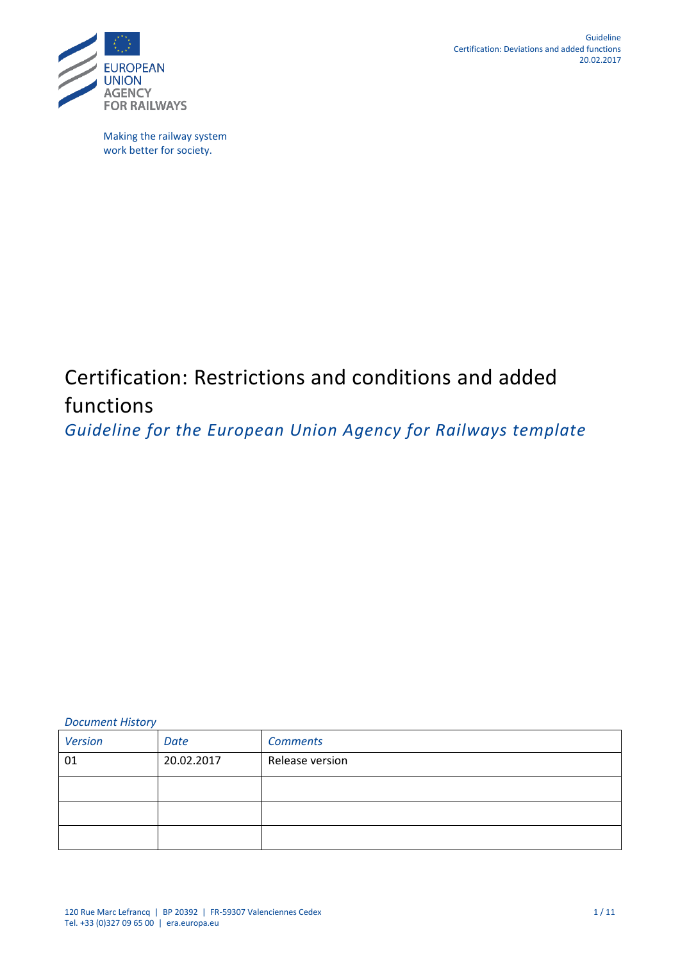

Making the railway system work better for society.

# Certification: Restrictions and conditions and added functions

*Guideline for the European Union Agency for Railways template* 

*Document History*

| <b>Version</b> | Date       | <b>Comments</b> |
|----------------|------------|-----------------|
| 01             | 20.02.2017 | Release version |
|                |            |                 |
|                |            |                 |
|                |            |                 |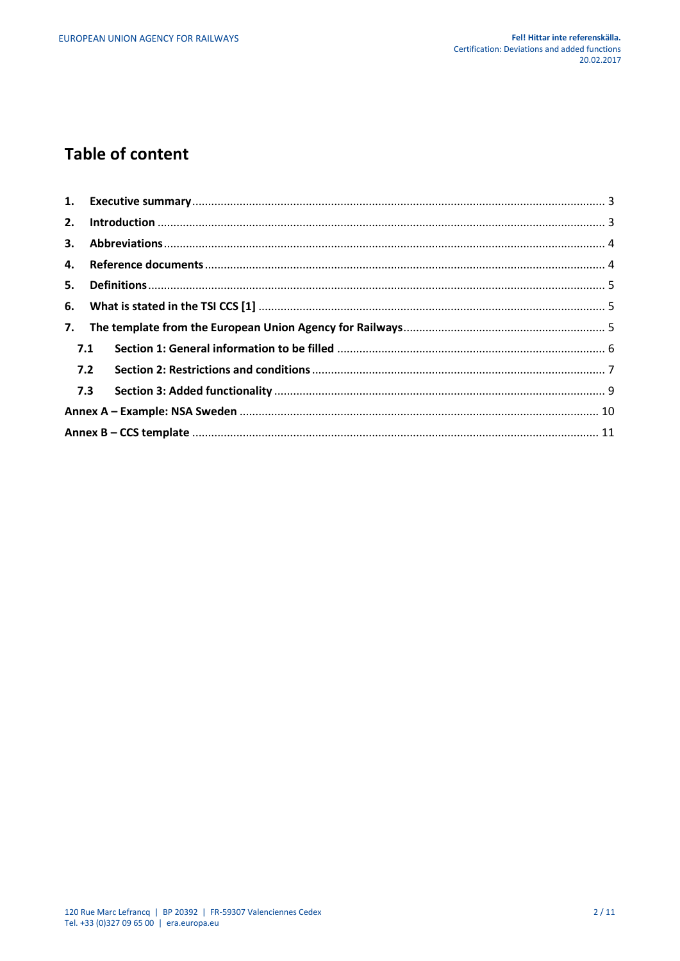# **Table of content**

| 7.  |  |  |  |
|-----|--|--|--|
| 7.1 |  |  |  |
| 7.2 |  |  |  |
| 7.3 |  |  |  |
|     |  |  |  |
|     |  |  |  |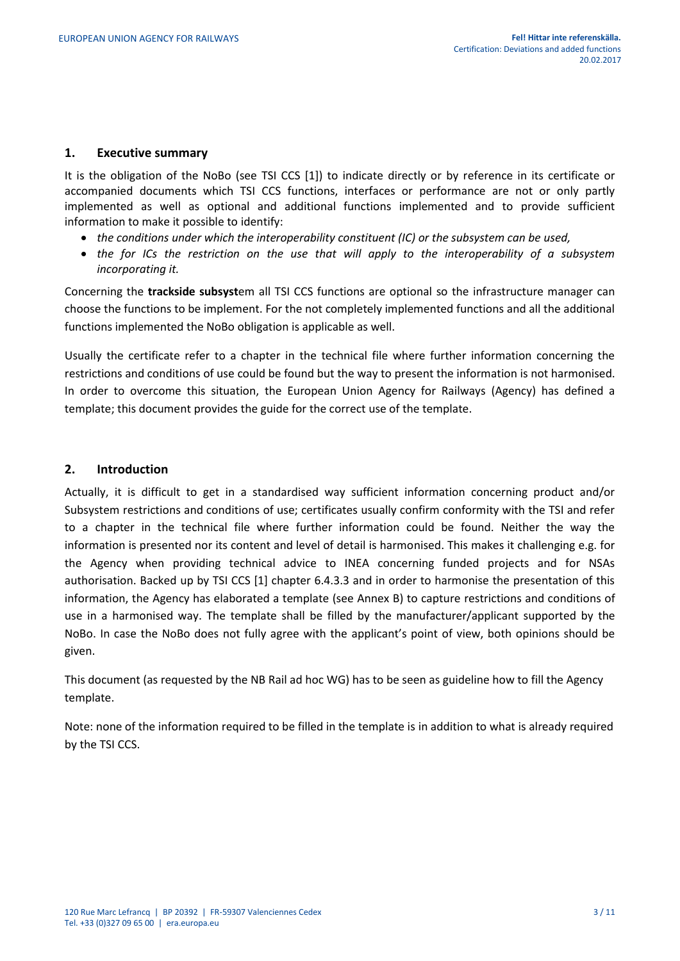#### <span id="page-2-0"></span>**1. Executive summary**

It is the obligation of the NoBo (see TSI CCS [1]) to indicate directly or by reference in its certificate or accompanied documents which TSI CCS functions, interfaces or performance are not or only partly implemented as well as optional and additional functions implemented and to provide sufficient information to make it possible to identify:

- *the conditions under which the interoperability constituent (IC) or the subsystem can be used,*
- *the for ICs the restriction on the use that will apply to the interoperability of a subsystem incorporating it.*

Concerning the **trackside subsyst**em all TSI CCS functions are optional so the infrastructure manager can choose the functions to be implement. For the not completely implemented functions and all the additional functions implemented the NoBo obligation is applicable as well.

Usually the certificate refer to a chapter in the technical file where further information concerning the restrictions and conditions of use could be found but the way to present the information is not harmonised. In order to overcome this situation, the European Union Agency for Railways (Agency) has defined a template; this document provides the guide for the correct use of the template.

# <span id="page-2-1"></span>**2. Introduction**

Actually, it is difficult to get in a standardised way sufficient information concerning product and/or Subsystem restrictions and conditions of use; certificates usually confirm conformity with the TSI and refer to a chapter in the technical file where further information could be found. Neither the way the information is presented nor its content and level of detail is harmonised. This makes it challenging e.g. for the Agency when providing technical advice to INEA concerning funded projects and for NSAs authorisation. Backed up by TSI CCS [1] chapter 6.4.3.3 and in order to harmonise the presentation of this information, the Agency has elaborated a template (see Annex B) to capture restrictions and conditions of use in a harmonised way. The template shall be filled by the manufacturer/applicant supported by the NoBo. In case the NoBo does not fully agree with the applicant's point of view, both opinions should be given.

This document (as requested by the NB Rail ad hoc WG) has to be seen as guideline how to fill the Agency template.

Note: none of the information required to be filled in the template is in addition to what is already required by the TSI CCS.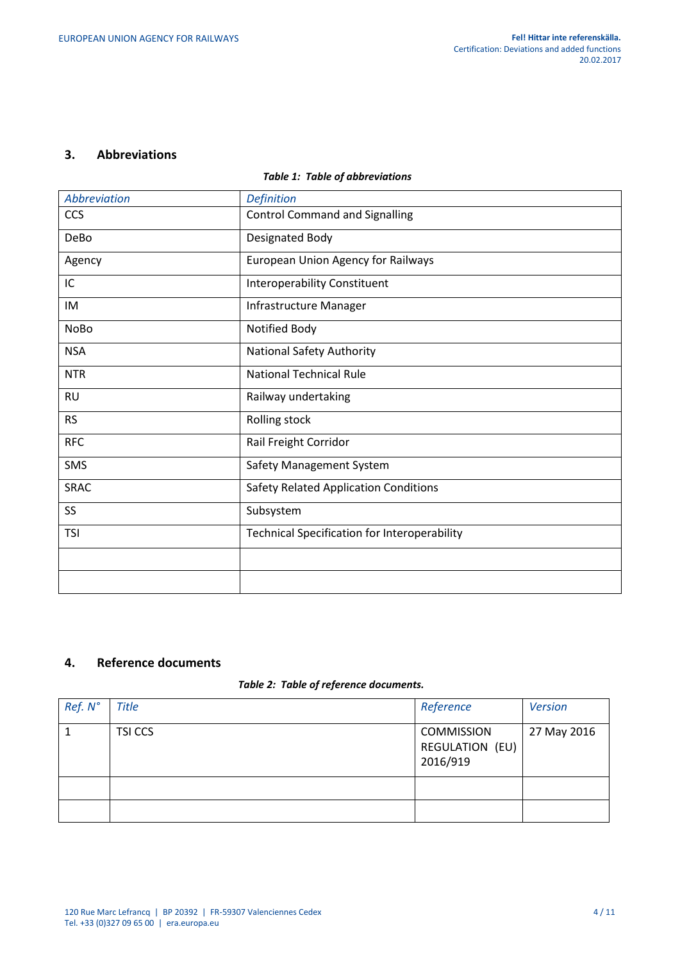#### <span id="page-3-0"></span>**3. Abbreviations**

# *Table 1: Table of abbreviations*

| <b>Abbreviation</b> | <b>Definition</b>                                   |
|---------------------|-----------------------------------------------------|
| CCS                 | <b>Control Command and Signalling</b>               |
| DeBo                | Designated Body                                     |
| Agency              | <b>European Union Agency for Railways</b>           |
| IC                  | <b>Interoperability Constituent</b>                 |
| IM                  | Infrastructure Manager                              |
| <b>NoBo</b>         | Notified Body                                       |
| <b>NSA</b>          | <b>National Safety Authority</b>                    |
| <b>NTR</b>          | <b>National Technical Rule</b>                      |
| <b>RU</b>           | Railway undertaking                                 |
| <b>RS</b>           | Rolling stock                                       |
| <b>RFC</b>          | Rail Freight Corridor                               |
| SMS                 | Safety Management System                            |
| <b>SRAC</b>         | <b>Safety Related Application Conditions</b>        |
| SS                  | Subsystem                                           |
| <b>TSI</b>          | <b>Technical Specification for Interoperability</b> |
|                     |                                                     |
|                     |                                                     |

# <span id="page-3-1"></span>**4. Reference documents**

# *Table 2: Table of reference documents.*

| Ref. N° | <b>Title</b> | Reference                                        | <b>Version</b> |
|---------|--------------|--------------------------------------------------|----------------|
|         | TSI CCS      | <b>COMMISSION</b><br>REGULATION (EU)<br>2016/919 | 27 May 2016    |
|         |              |                                                  |                |
|         |              |                                                  |                |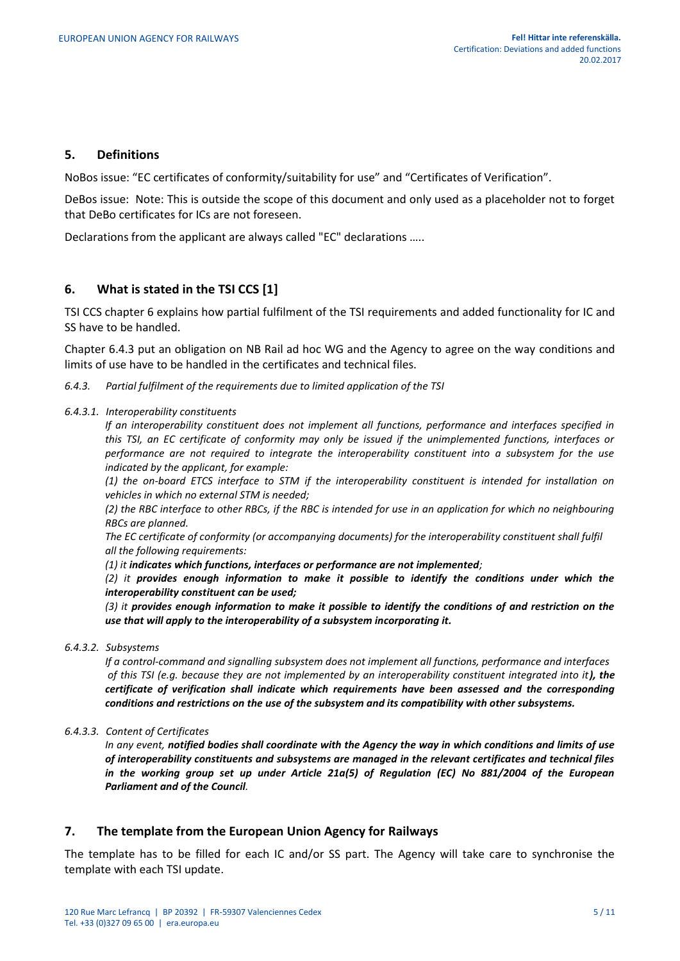#### <span id="page-4-0"></span>**5. Definitions**

NoBos issue: "EC certificates of conformity/suitability for use" and "Certificates of Verification".

DeBos issue: Note: This is outside the scope of this document and only used as a placeholder not to forget that DeBo certificates for ICs are not foreseen.

Declarations from the applicant are always called "EC" declarations …..

# <span id="page-4-1"></span>**6. What is stated in the TSI CCS [1]**

TSI CCS chapter 6 explains how partial fulfilment of the TSI requirements and added functionality for IC and SS have to be handled.

Chapter 6.4.3 put an obligation on NB Rail ad hoc WG and the Agency to agree on the way conditions and limits of use have to be handled in the certificates and technical files.

*6.4.3. Partial fulfilment of the requirements due to limited application of the TSI*

#### *6.4.3.1. Interoperability constituents*

*If an interoperability constituent does not implement all functions, performance and interfaces specified in this TSI, an EC certificate of conformity may only be issued if the unimplemented functions, interfaces or performance are not required to integrate the interoperability constituent into a subsystem for the use indicated by the applicant, for example:*

*(1) the on-board ETCS interface to STM if the interoperability constituent is intended for installation on vehicles in which no external STM is needed;* 

*(2) the RBC interface to other RBCs, if the RBC is intended for use in an application for which no neighbouring RBCs are planned.* 

*The EC certificate of conformity (or accompanying documents) for the interoperability constituent shall fulfil all the following requirements:* 

*(1) it indicates which functions, interfaces or performance are not implemented;* 

*(2) it provides enough information to make it possible to identify the conditions under which the interoperability constituent can be used;*

*(3) it provides enough information to make it possible to identify the conditions of and restriction on the use that will apply to the interoperability of a subsystem incorporating it.*

*6.4.3.2. Subsystems*

*If a control-command and signalling subsystem does not implement all functions, performance and interfaces of this TSI (e.g. because they are not implemented by an interoperability constituent integrated into it), the certificate of verification shall indicate which requirements have been assessed and the corresponding conditions and restrictions on the use of the subsystem and its compatibility with other subsystems.* 

*6.4.3.3. Content of Certificates*

*In any event, notified bodies shall coordinate with the Agency the way in which conditions and limits of use of interoperability constituents and subsystems are managed in the relevant certificates and technical files in the working group set up under Article 21a(5) of Regulation (EC) No 881/2004 of the European Parliament and of the Council.*

#### <span id="page-4-2"></span>**7. The template from the European Union Agency for Railways**

The template has to be filled for each IC and/or SS part. The Agency will take care to synchronise the template with each TSI update.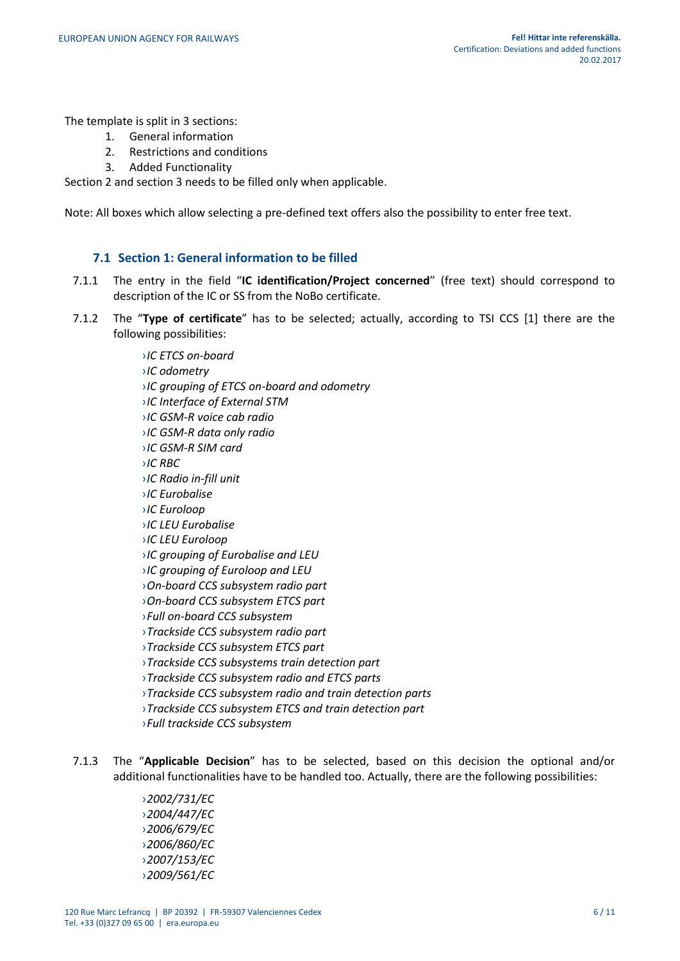The template is split in 3 sections:

- 1. General information
- 2. Restrictions and conditions
- 3. Added Functionality

Section 2 and section 3 needs to be filled only when applicable.

Note: All boxes which allow selecting a pre-defined text offers also the possibility to enter free text.

# **7.1 Section 1: General information to be filled**

- <span id="page-5-0"></span>7.1.1 The entry in the field "**IC identification/Project concerned**" (free text) should correspond to description of the IC or SS from the NoBo certificate.
- 7.1.2 The "**Type of certificate**" has to be selected; actually, according to TSI CCS [1] there are the following possibilities:

›*IC ETCS on-board* ›*IC odometry* ›*IC grouping of ETCS on-board and odometry* ›*IC Interface of External STM* ›*IC GSM-R voice cab radio* ›*IC GSM-R data only radio* ›*IC GSM-R SIM card* ›*IC RBC* ›*IC Radio in-fill unit* ›*IC Eurobalise* ›*IC Euroloop* ›*IC LEU Eurobalise* ›*IC LEU Euroloop* ›*IC grouping of Eurobalise and LEU* ›*IC grouping of Euroloop and LEU* ›*On-board CCS subsystem radio part* ›*On-board CCS subsystem ETCS part* ›*Full on-board CCS subsystem* ›*Trackside CCS subsystem radio part* ›*Trackside CCS subsystem ETCS part* ›*Trackside CCS subsystems train detection part* ›*Trackside CCS subsystem radio and ETCS parts* ›*Trackside CCS subsystem radio and train detection parts* ›*Trackside CCS subsystem ETCS and train detection part* ›*Full trackside CCS subsystem* 

7.1.3 The "**Applicable Decision**" has to be selected, based on this decision the optional and/or additional functionalities have to be handled too. Actually, there are the following possibilities:

> ›*2002/731/EC* ›*2004/447/EC* ›*2006/679/EC* ›*2006/860/EC* ›*2007/153/EC* ›*2009/561/EC*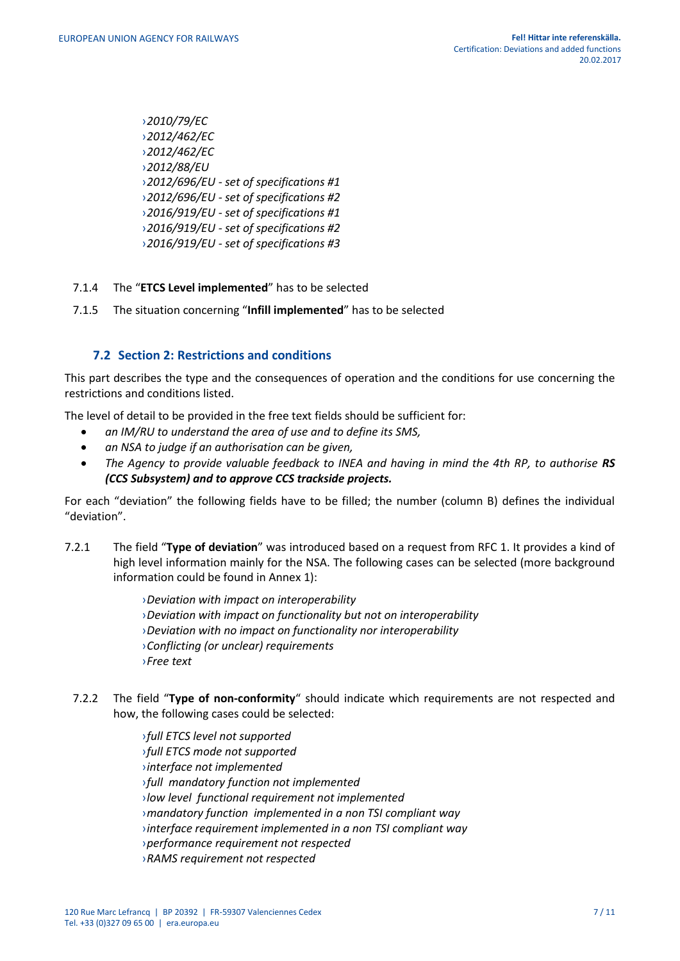›*2010/79/EC* ›*2012/462/EC* ›*2012/462/EC* ›*2012/88/EU*  ›*2012/696/EU - set of specifications #1* ›*2012/696/EU - set of specifications #2* ›*2016/919/EU - set of specifications #1* ›*2016/919/EU - set of specifications #2* ›*2016/919/EU - set of specifications #3*

- 7.1.4 The "**ETCS Level implemented**" has to be selected
- 7.1.5 The situation concerning "**Infill implemented**" has to be selected

# **7.2 Section 2: Restrictions and conditions**

<span id="page-6-0"></span>This part describes the type and the consequences of operation and the conditions for use concerning the restrictions and conditions listed.

The level of detail to be provided in the free text fields should be sufficient for:

- *an IM/RU to understand the area of use and to define its SMS,*
- *an NSA to judge if an authorisation can be given,*
- The Agency to provide valuable feedback to INEA and having in mind the 4th RP, to authorise RS *(CCS Subsystem) and to approve CCS trackside projects.*

For each "deviation" the following fields have to be filled; the number (column B) defines the individual "deviation".

7.2.1 The field "**Type of deviation**" was introduced based on a request from RFC 1. It provides a kind of high level information mainly for the NSA. The following cases can be selected (more background information could be found in Annex 1):

> ›*Deviation with impact on interoperability*  ›*Deviation with impact on functionality but not on interoperability* ›*Deviation with no impact on functionality nor interoperability* ›*Conflicting (or unclear) requirements* ›*Free text*

7.2.2 The field "**Type of non-conformity**" should indicate which requirements are not respected and how, the following cases could be selected:

> ›*full ETCS level not supported* ›*full ETCS mode not supported* ›*interface not implemented* ›*full mandatory function not implemented* ›*low level functional requirement not implemented* ›*mandatory function implemented in a non TSI compliant way* ›*interface requirement implemented in a non TSI compliant way* ›*performance requirement not respected* ›*RAMS requirement not respected*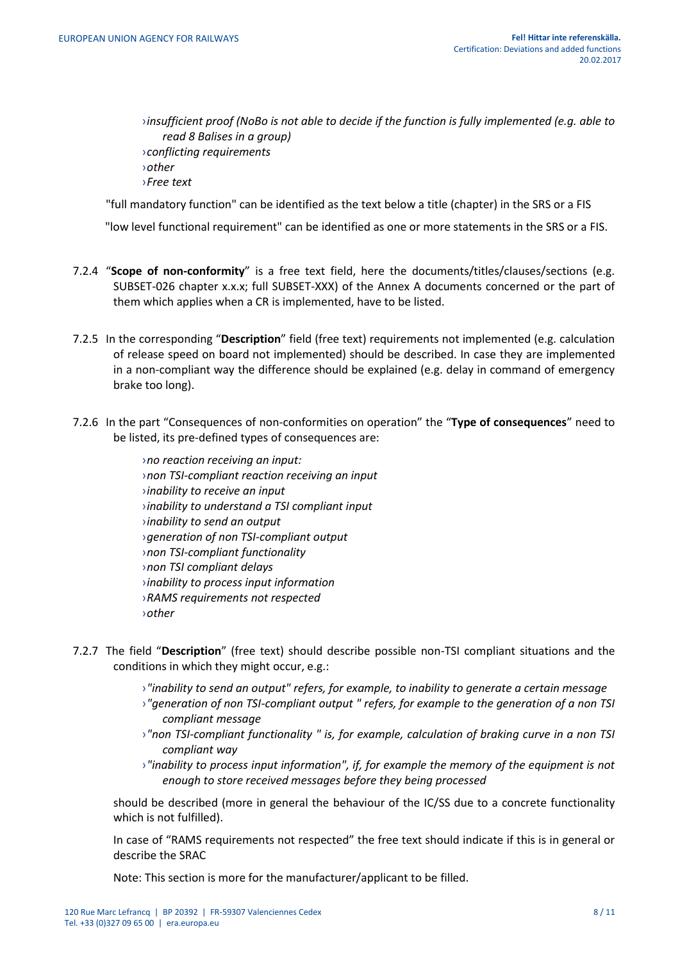›*insufficient proof (NoBo is not able to decide if the function is fully implemented (e.g. able to read 8 Balises in a group)* ›*conflicting requirements* ›*other* ›*Free text*

"full mandatory function" can be identified as the text below a title (chapter) in the SRS or a FIS

"low level functional requirement" can be identified as one or more statements in the SRS or a FIS.

- 7.2.4 "**Scope of non-conformity**" is a free text field, here the documents/titles/clauses/sections (e.g. SUBSET-026 chapter x.x.x; full SUBSET-XXX) of the Annex A documents concerned or the part of them which applies when a CR is implemented, have to be listed.
- 7.2.5 In the corresponding "**Description**" field (free text) requirements not implemented (e.g. calculation of release speed on board not implemented) should be described. In case they are implemented in a non-compliant way the difference should be explained (e.g. delay in command of emergency brake too long).
- 7.2.6 In the part "Consequences of non-conformities on operation" the "**Type of consequences**" need to be listed, its pre-defined types of consequences are:

›*no reaction receiving an input:* ›*non TSI-compliant reaction receiving an input* ›*inability to receive an input* ›*inability to understand a TSI compliant input* ›*inability to send an output*  ›*generation of non TSI-compliant output* ›*non TSI-compliant functionality* ›*non TSI compliant delays* ›*inability to process input information* ›*RAMS requirements not respected* ›*other* 

- 7.2.7 The field "**Description**" (free text) should describe possible non-TSI compliant situations and the conditions in which they might occur, e.g.:
	- ›*"inability to send an output" refers, for example, to inability to generate a certain message*
	- ›*"generation of non TSI-compliant output " refers, for example to the generation of a non TSI compliant message*
	- ›*"non TSI-compliant functionality " is, for example, calculation of braking curve in a non TSI compliant way*
	- ›*"inability to process input information", if, for example the memory of the equipment is not enough to store received messages before they being processed*

should be described (more in general the behaviour of the IC/SS due to a concrete functionality which is not fulfilled).

In case of "RAMS requirements not respected" the free text should indicate if this is in general or describe the SRAC

Note: This section is more for the manufacturer/applicant to be filled.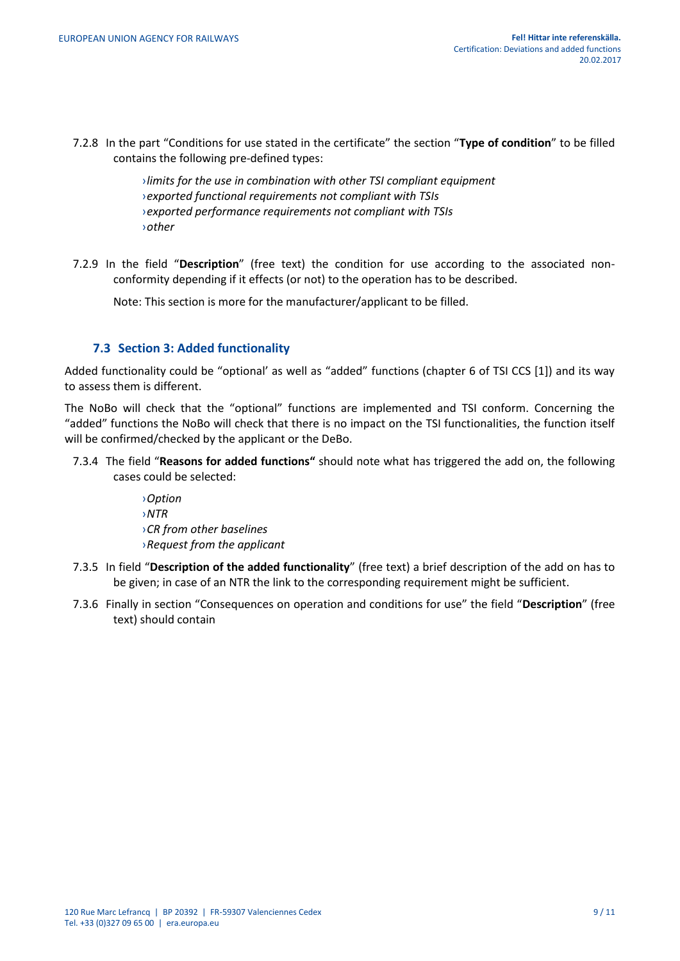7.2.8 In the part "Conditions for use stated in the certificate" the section "**Type of condition**" to be filled contains the following pre-defined types:

> ›*limits for the use in combination with other TSI compliant equipment* ›*exported functional requirements not compliant with TSIs* ›*exported performance requirements not compliant with TSIs* ›*other*

7.2.9 In the field "**Description**" (free text) the condition for use according to the associated nonconformity depending if it effects (or not) to the operation has to be described.

Note: This section is more for the manufacturer/applicant to be filled.

# **7.3 Section 3: Added functionality**

<span id="page-8-0"></span>Added functionality could be "optional' as well as "added" functions (chapter 6 of TSI CCS [1]) and its way to assess them is different.

The NoBo will check that the "optional" functions are implemented and TSI conform. Concerning the "added" functions the NoBo will check that there is no impact on the TSI functionalities, the function itself will be confirmed/checked by the applicant or the DeBo.

7.3.4 The field "**Reasons for added functions"** should note what has triggered the add on, the following cases could be selected:

> ›*Option* ›*NTR* ›*CR from other baselines* ›*Request from the applicant*

- 7.3.5 In field "**Description of the added functionality**" (free text) a brief description of the add on has to be given; in case of an NTR the link to the corresponding requirement might be sufficient.
- 7.3.6 Finally in section "Consequences on operation and conditions for use" the field "**Description**" (free text) should contain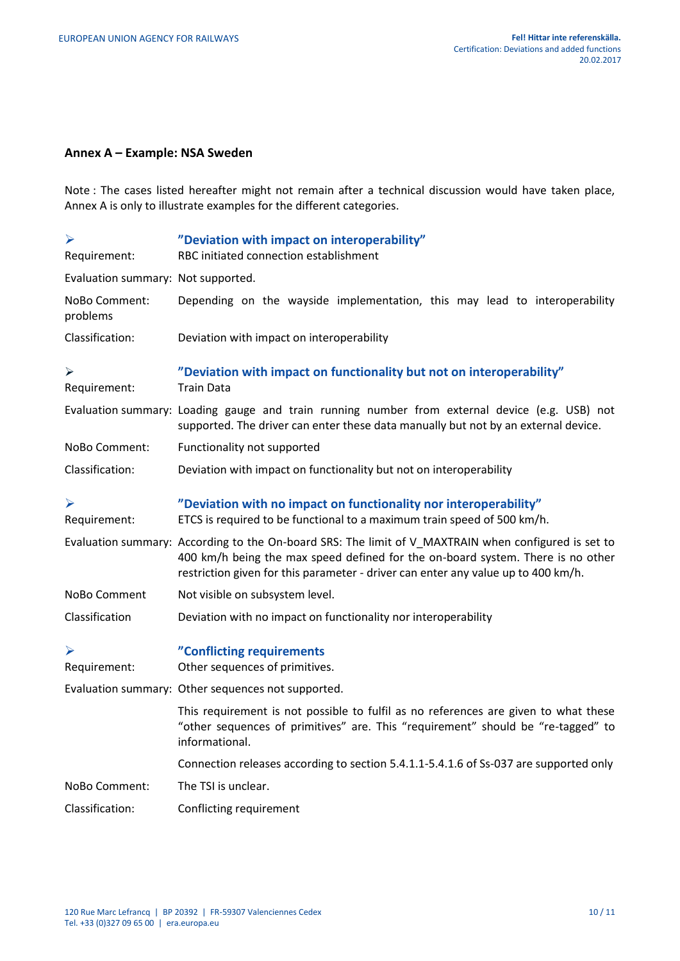# <span id="page-9-0"></span>**Annex A – Example: NSA Sweden**

Note : The cases listed hereafter might not remain after a technical discussion would have taken place, Annex A is only to illustrate examples for the different categories.

| ➤                                     | "Deviation with impact on interoperability"                                                                                                                                                                                                                                  |
|---------------------------------------|------------------------------------------------------------------------------------------------------------------------------------------------------------------------------------------------------------------------------------------------------------------------------|
| Requirement:                          | RBC initiated connection establishment                                                                                                                                                                                                                                       |
| Evaluation summary: Not supported.    |                                                                                                                                                                                                                                                                              |
| NoBo Comment:<br>problems             | Depending on the wayside implementation, this may lead to interoperability                                                                                                                                                                                                   |
| Classification:                       | Deviation with impact on interoperability                                                                                                                                                                                                                                    |
| ≻<br>Requirement:                     | "Deviation with impact on functionality but not on interoperability"<br><b>Train Data</b>                                                                                                                                                                                    |
|                                       | Evaluation summary: Loading gauge and train running number from external device (e.g. USB) not<br>supported. The driver can enter these data manually but not by an external device.                                                                                         |
| NoBo Comment:                         | Functionality not supported                                                                                                                                                                                                                                                  |
| Classification:                       | Deviation with impact on functionality but not on interoperability                                                                                                                                                                                                           |
| ➤<br>Requirement:                     | "Deviation with no impact on functionality nor interoperability"<br>ETCS is required to be functional to a maximum train speed of 500 km/h.                                                                                                                                  |
|                                       | Evaluation summary: According to the On-board SRS: The limit of V_MAXTRAIN when configured is set to<br>400 km/h being the max speed defined for the on-board system. There is no other<br>restriction given for this parameter - driver can enter any value up to 400 km/h. |
| NoBo Comment                          | Not visible on subsystem level.                                                                                                                                                                                                                                              |
| Classification                        | Deviation with no impact on functionality nor interoperability                                                                                                                                                                                                               |
| $\blacktriangleright$<br>Requirement: | "Conflicting requirements<br>Other sequences of primitives.                                                                                                                                                                                                                  |
|                                       | Evaluation summary: Other sequences not supported.                                                                                                                                                                                                                           |
|                                       | This requirement is not possible to fulfil as no references are given to what these<br>"other sequences of primitives" are. This "requirement" should be "re-tagged" to<br>informational.                                                                                    |
|                                       | Connection releases according to section 5.4.1.1-5.4.1.6 of Ss-037 are supported only                                                                                                                                                                                        |
| NoBo Comment:                         | The TSI is unclear.                                                                                                                                                                                                                                                          |
| Classification:                       | Conflicting requirement                                                                                                                                                                                                                                                      |
|                                       |                                                                                                                                                                                                                                                                              |